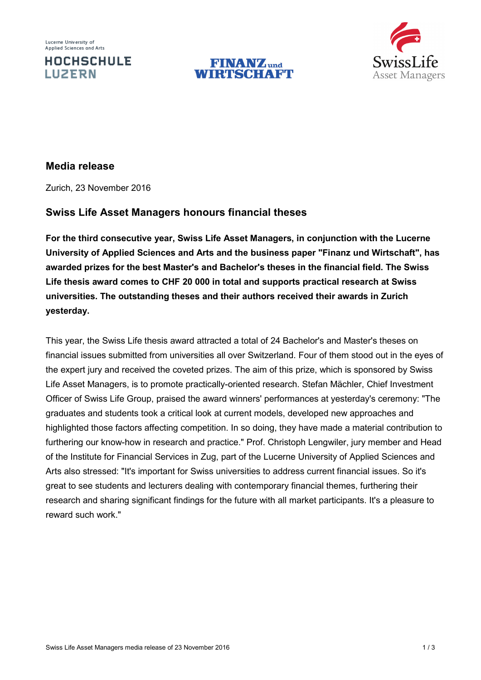Lucerne University of Applied Sciences and Arts

**LUZERN** 

**HOCHSCHULE** 





# **Media release**

Zurich, 23 November 2016

# **Swiss Life Asset Managers honours financial theses**

**For the third consecutive year, Swiss Life Asset Managers, in conjunction with the Lucerne University of Applied Sciences and Arts and the business paper "Finanz und Wirtschaft", has awarded prizes for the best Master's and Bachelor's theses in the financial field. The Swiss Life thesis award comes to CHF 20 000 in total and supports practical research at Swiss universities. The outstanding theses and their authors received their awards in Zurich yesterday.**

This year, the Swiss Life thesis award attracted a total of 24 Bachelor's and Master's theses on financial issues submitted from universities all over Switzerland. Four of them stood out in the eyes of the expert jury and received the coveted prizes. The aim of this prize, which is sponsored by Swiss Life Asset Managers, is to promote practically-oriented research. Stefan Mächler, Chief Investment Officer of Swiss Life Group, praised the award winners' performances at yesterday's ceremony: "The graduates and students took a critical look at current models, developed new approaches and highlighted those factors affecting competition. In so doing, they have made a material contribution to furthering our know-how in research and practice." Prof. Christoph Lengwiler, jury member and Head of the Institute for Financial Services in Zug, part of the Lucerne University of Applied Sciences and Arts also stressed: "It's important for Swiss universities to address current financial issues. So it's great to see students and lecturers dealing with contemporary financial themes, furthering their research and sharing significant findings for the future with all market participants. It's a pleasure to reward such work."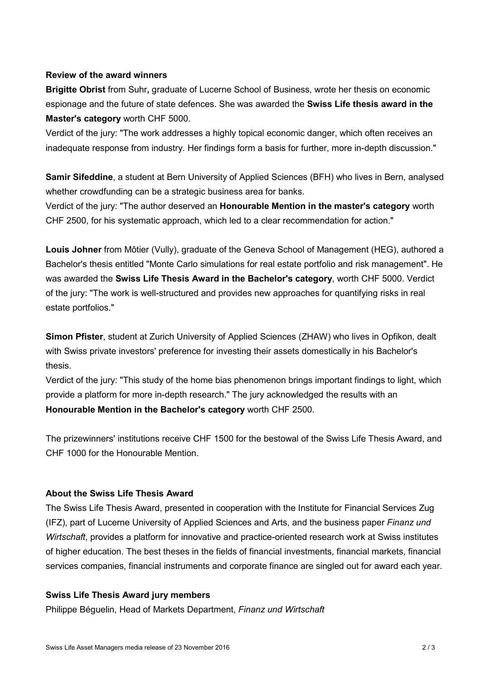## **Review of the award winners**

**Brigitte Obrist** from Suhr**,** graduate of Lucerne School of Business, wrote her thesis on economic espionage and the future of state defences. She was awarded the **Swiss Life thesis award in the Master's category** worth CHF 5000.

Verdict of the jury: "The work addresses a highly topical economic danger, which often receives an inadequate response from industry. Her findings form a basis for further, more in-depth discussion."

**Samir Sifeddine**, a student at Bern University of Applied Sciences (BFH) who lives in Bern, analysed whether crowdfunding can be a strategic business area for banks.

Verdict of the jury: "The author deserved an **Honourable Mention in the master's category** worth CHF 2500, for his systematic approach, which led to a clear recommendation for action."

**Louis Johner** from Môtier (Vully), graduate of the Geneva School of Management (HEG), authored a Bachelor's thesis entitled "Monte Carlo simulations for real estate portfolio and risk management". He was awarded the **Swiss Life Thesis Award in the Bachelor's category**, worth CHF 5000. Verdict of the jury: "The work is well-structured and provides new approaches for quantifying risks in real estate portfolios."

**Simon Pfister**, student at Zurich University of Applied Sciences (ZHAW) who lives in Opfikon, dealt with Swiss private investors' preference for investing their assets domestically in his Bachelor's thesis.

Verdict of the jury: "This study of the home bias phenomenon brings important findings to light, which provide a platform for more in-depth research." The jury acknowledged the results with an **Honourable Mention in the Bachelor's category** worth CHF 2500.

The prizewinners' institutions receive CHF 1500 for the bestowal of the Swiss Life Thesis Award, and CHF 1000 for the Honourable Mention.

## **About the Swiss Life Thesis Award**

The Swiss Life Thesis Award, presented in cooperation with the Institute for Financial Services Zug (IFZ), part of Lucerne University of Applied Sciences and Arts, and the business paper *Finanz und Wirtschaft*, provides a platform for innovative and practice-oriented research work at Swiss institutes of higher education. The best theses in the fields of financial investments, financial markets, financial services companies, financial instruments and corporate finance are singled out for award each year.

## **Swiss Life Thesis Award jury members**

Philippe Béguelin, Head of Markets Department, *Finanz und Wirtschaft*